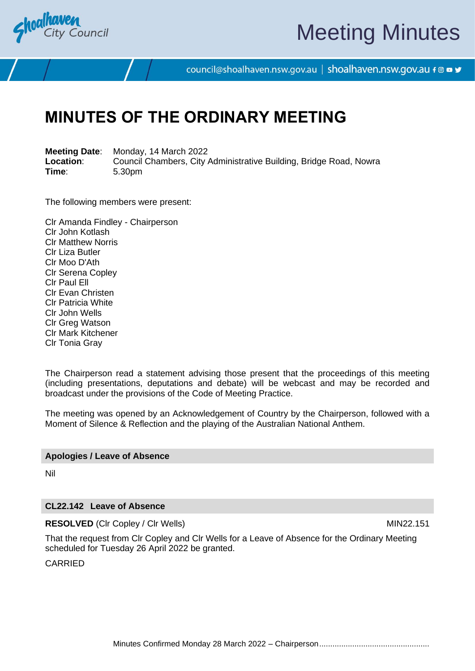

# Meeting Minutes

council@shoalhaven.nsw.gov.au | shoalhaven.nsw.gov.au f @ ■ y

## **MINUTES OF THE ORDINARY MEETING**

**Meeting Date**: Monday, 14 March 2022 **Location:** Council Chambers, City Administrative Building, Bridge Road, Nowra<br>
Time: 5.30pm **Time**: 5.30pm

The following members were present:

Clr Amanda Findley - Chairperson Clr John Kotlash Clr Matthew Norris Clr Liza Butler Clr Moo D'Ath Clr Serena Copley Clr Paul Ell Clr Evan Christen Clr Patricia White Clr John Wells Clr Greg Watson Clr Mark Kitchener Clr Tonia Gray

The Chairperson read a statement advising those present that the proceedings of this meeting (including presentations, deputations and debate) will be webcast and may be recorded and broadcast under the provisions of the Code of Meeting Practice.

The meeting was opened by an Acknowledgement of Country by the Chairperson, followed with a Moment of Silence & Reflection and the playing of the Australian National Anthem.

#### **Apologies / Leave of Absence**

Nil

#### **CL22.142 Leave of Absence**

**RESOLVED** (Cir Copley / Cir Wells) MIN22.151

That the request from Clr Copley and Clr Wells for a Leave of Absence for the Ordinary Meeting scheduled for Tuesday 26 April 2022 be granted.

CARRIED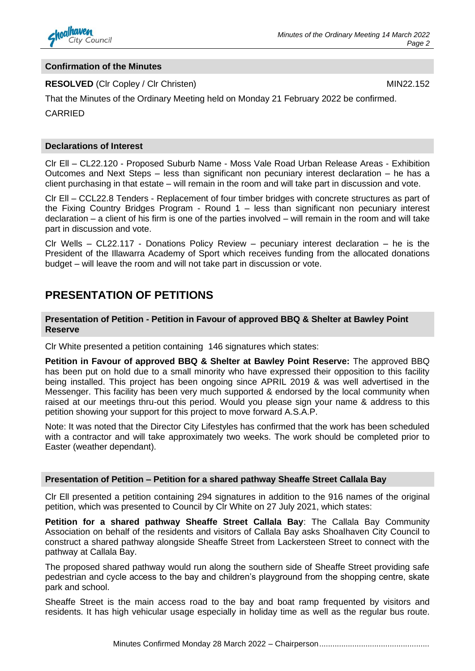

#### **Confirmation of the Minutes**

#### **RESOLVED** (CIr Copley / CIr Christen) MIN22.152

That the Minutes of the Ordinary Meeting held on Monday 21 February 2022 be confirmed.

CARRIED

#### **Declarations of Interest**

Clr Ell – CL22.120 - Proposed Suburb Name - Moss Vale Road Urban Release Areas - Exhibition Outcomes and Next Steps – less than significant non pecuniary interest declaration – he has a client purchasing in that estate – will remain in the room and will take part in discussion and vote.

Clr Ell – CCL22.8 Tenders - Replacement of four timber bridges with concrete structures as part of the Fixing Country Bridges Program - Round 1 – less than significant non pecuniary interest declaration – a client of his firm is one of the parties involved – will remain in the room and will take part in discussion and vote.

Clr Wells – CL22.117 - Donations Policy Review – pecuniary interest declaration – he is the President of the Illawarra Academy of Sport which receives funding from the allocated donations budget – will leave the room and will not take part in discussion or vote.

#### **PRESENTATION OF PETITIONS**

**Presentation of Petition - Petition in Favour of approved BBQ & Shelter at Bawley Point Reserve**

Clr White presented a petition containing 146 signatures which states:

**Petition in Favour of approved BBQ & Shelter at Bawley Point Reserve:** The approved BBQ has been put on hold due to a small minority who have expressed their opposition to this facility being installed. This project has been ongoing since APRIL 2019 & was well advertised in the Messenger. This facility has been very much supported & endorsed by the local community when raised at our meetings thru-out this period. Would you please sign your name & address to this petition showing your support for this project to move forward A.S.A.P.

Note: It was noted that the Director City Lifestyles has confirmed that the work has been scheduled with a contractor and will take approximately two weeks. The work should be completed prior to Easter (weather dependant).

#### **Presentation of Petition – Petition for a shared pathway Sheaffe Street Callala Bay**

Clr Ell presented a petition containing 294 signatures in addition to the 916 names of the original petition, which was presented to Council by Clr White on 27 July 2021, which states:

**Petition for a shared pathway Sheaffe Street Callala Bay**: The Callala Bay Community Association on behalf of the residents and visitors of Callala Bay asks Shoalhaven City Council to construct a shared pathway alongside Sheaffe Street from Lackersteen Street to connect with the pathway at Callala Bay.

The proposed shared pathway would run along the southern side of Sheaffe Street providing safe pedestrian and cycle access to the bay and children's playground from the shopping centre, skate park and school.

Sheaffe Street is the main access road to the bay and boat ramp frequented by visitors and residents. It has high vehicular usage especially in holiday time as well as the regular bus route.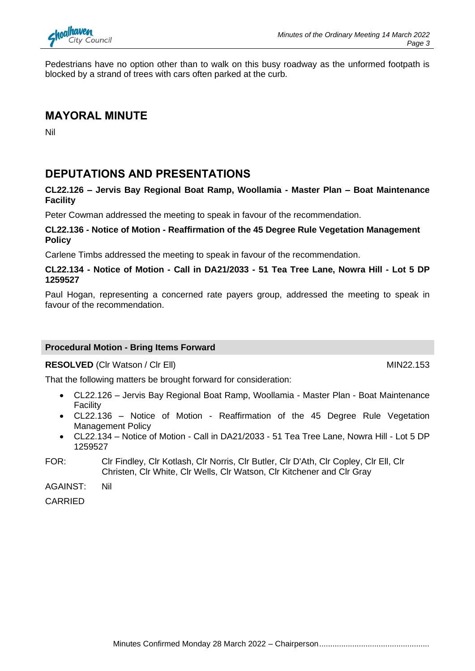

Pedestrians have no option other than to walk on this busy roadway as the unformed footpath is blocked by a strand of trees with cars often parked at the curb.

#### **MAYORAL MINUTE**

Nil

## **DEPUTATIONS AND PRESENTATIONS**

#### **CL22.126 – Jervis Bay Regional Boat Ramp, Woollamia - Master Plan – Boat Maintenance Facility**

Peter Cowman addressed the meeting to speak in favour of the recommendation.

#### **CL22.136 - Notice of Motion - Reaffirmation of the 45 Degree Rule Vegetation Management Policy**

Carlene Timbs addressed the meeting to speak in favour of the recommendation.

#### **CL22.134 - Notice of Motion - Call in DA21/2033 - 51 Tea Tree Lane, Nowra Hill - Lot 5 DP 1259527**

Paul Hogan, representing a concerned rate payers group, addressed the meeting to speak in favour of the recommendation.

#### **Procedural Motion - Bring Items Forward**

**RESOLVED** (CIr Watson / CIr Ell) MIN22.153

That the following matters be brought forward for consideration:

- CL22.126 Jervis Bay Regional Boat Ramp, Woollamia Master Plan Boat Maintenance Facility
- CL22.136 Notice of Motion Reaffirmation of the 45 Degree Rule Vegetation Management Policy
- CL22.134 Notice of Motion Call in DA21/2033 51 Tea Tree Lane, Nowra Hill Lot 5 DP 1259527
- FOR: Clr Findley, Clr Kotlash, Clr Norris, Clr Butler, Clr D'Ath, Clr Copley, Clr Ell, Clr Christen, Clr White, Clr Wells, Clr Watson, Clr Kitchener and Clr Gray

AGAINST: Nil

CARRIED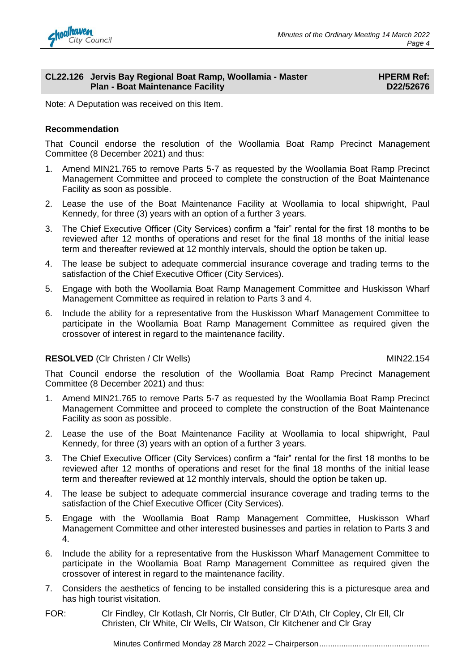

#### **CL22.126 Jervis Bay Regional Boat Ramp, Woollamia - Master Plan - Boat Maintenance Facility**

**HPERM Ref: D22/52676**

Note: A Deputation was received on this Item.

#### **Recommendation**

That Council endorse the resolution of the Woollamia Boat Ramp Precinct Management Committee (8 December 2021) and thus:

- 1. Amend MIN21.765 to remove Parts 5-7 as requested by the Woollamia Boat Ramp Precinct Management Committee and proceed to complete the construction of the Boat Maintenance Facility as soon as possible.
- 2. Lease the use of the Boat Maintenance Facility at Woollamia to local shipwright, Paul Kennedy, for three (3) years with an option of a further 3 years.
- 3. The Chief Executive Officer (City Services) confirm a "fair" rental for the first 18 months to be reviewed after 12 months of operations and reset for the final 18 months of the initial lease term and thereafter reviewed at 12 monthly intervals, should the option be taken up.
- 4. The lease be subject to adequate commercial insurance coverage and trading terms to the satisfaction of the Chief Executive Officer (City Services).
- 5. Engage with both the Woollamia Boat Ramp Management Committee and Huskisson Wharf Management Committee as required in relation to Parts 3 and 4.
- 6. Include the ability for a representative from the Huskisson Wharf Management Committee to participate in the Woollamia Boat Ramp Management Committee as required given the crossover of interest in regard to the maintenance facility.

#### **RESOLVED** (CIr Christen / CIr Wells) MIN22.154

That Council endorse the resolution of the Woollamia Boat Ramp Precinct Management Committee (8 December 2021) and thus:

- 1. Amend MIN21.765 to remove Parts 5-7 as requested by the Woollamia Boat Ramp Precinct Management Committee and proceed to complete the construction of the Boat Maintenance Facility as soon as possible.
- 2. Lease the use of the Boat Maintenance Facility at Woollamia to local shipwright, Paul Kennedy, for three (3) years with an option of a further 3 years.
- 3. The Chief Executive Officer (City Services) confirm a "fair" rental for the first 18 months to be reviewed after 12 months of operations and reset for the final 18 months of the initial lease term and thereafter reviewed at 12 monthly intervals, should the option be taken up.
- 4. The lease be subject to adequate commercial insurance coverage and trading terms to the satisfaction of the Chief Executive Officer (City Services).
- 5. Engage with the Woollamia Boat Ramp Management Committee, Huskisson Wharf Management Committee and other interested businesses and parties in relation to Parts 3 and 4.
- 6. Include the ability for a representative from the Huskisson Wharf Management Committee to participate in the Woollamia Boat Ramp Management Committee as required given the crossover of interest in regard to the maintenance facility.
- 7. Considers the aesthetics of fencing to be installed considering this is a picturesque area and has high tourist visitation.
- FOR: Clr Findley, Clr Kotlash, Clr Norris, Clr Butler, Clr D'Ath, Clr Copley, Clr Ell, Clr Christen, Clr White, Clr Wells, Clr Watson, Clr Kitchener and Clr Gray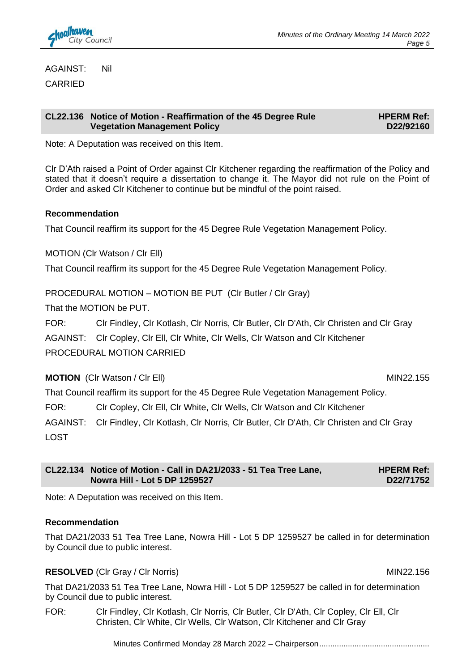

AGAINST: Nil

CARRIED

#### **CL22.136 Notice of Motion - Reaffirmation of the 45 Degree Rule Vegetation Management Policy**

**HPERM Ref: D22/92160**

Note: A Deputation was received on this Item.

Clr D'Ath raised a Point of Order against Clr Kitchener regarding the reaffirmation of the Policy and stated that it doesn't require a dissertation to change it. The Mayor did not rule on the Point of Order and asked Clr Kitchener to continue but be mindful of the point raised.

#### **Recommendation**

That Council reaffirm its support for the 45 Degree Rule Vegetation Management Policy.

MOTION (Clr Watson / Clr Ell)

That Council reaffirm its support for the 45 Degree Rule Vegetation Management Policy.

PROCEDURAL MOTION – MOTION BE PUT (Clr Butler / Clr Gray)

That the MOTION be PUT.

FOR: Clr Findley, Clr Kotlash, Clr Norris, Clr Butler, Clr D'Ath, Clr Christen and Clr Gray AGAINST: Clr Copley, Clr Ell, Clr White, Clr Wells, Clr Watson and Clr Kitchener PROCEDURAL MOTION CARRIED

**MOTION** (CIr Watson / CIr Ell) **MIN22.155** 

That Council reaffirm its support for the 45 Degree Rule Vegetation Management Policy.

FOR: Clr Copley, Clr Ell, Clr White, Clr Wells, Clr Watson and Clr Kitchener

AGAINST: Clr Findley, Clr Kotlash, Clr Norris, Clr Butler, Clr D'Ath, Clr Christen and Clr Gray LOST

| CL22.134 Notice of Motion - Call in DA21/2033 - 51 Tea Tree Lane, | <b>HPERM Ref:</b> |
|-------------------------------------------------------------------|-------------------|
| Nowra Hill - Lot 5 DP 1259527                                     | D22/71752         |

Note: A Deputation was received on this Item.

#### **Recommendation**

That DA21/2033 51 Tea Tree Lane, Nowra Hill - Lot 5 DP 1259527 be called in for determination by Council due to public interest.

#### **RESOLVED** (CIr Gray / CIr Norris) MIN22.156

That DA21/2033 51 Tea Tree Lane, Nowra Hill - Lot 5 DP 1259527 be called in for determination by Council due to public interest.

FOR: Clr Findley, Clr Kotlash, Clr Norris, Clr Butler, Clr D'Ath, Clr Copley, Clr Ell, Clr Christen, Clr White, Clr Wells, Clr Watson, Clr Kitchener and Clr Gray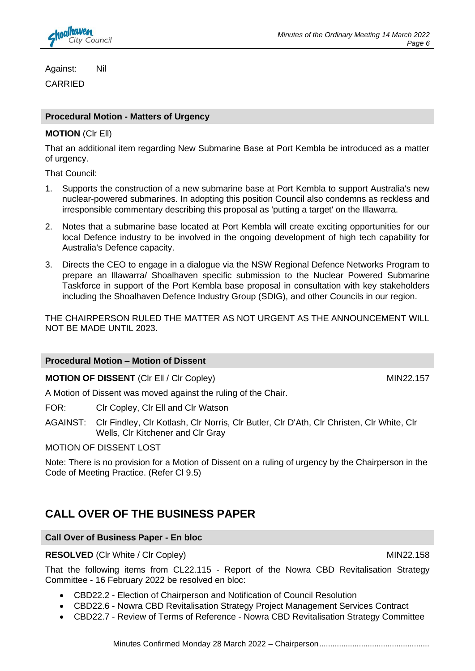

Against: Nil CARRIED

## **Procedural Motion - Matters of Urgency**

#### **MOTION** (Clr Ell)

That an additional item regarding New Submarine Base at Port Kembla be introduced as a matter of urgency.

That Council:

- 1. Supports the construction of a new submarine base at Port Kembla to support Australia's new nuclear-powered submarines. In adopting this position Council also condemns as reckless and irresponsible commentary describing this proposal as 'putting a target' on the Illawarra.
- 2. Notes that a submarine base located at Port Kembla will create exciting opportunities for our local Defence industry to be involved in the ongoing development of high tech capability for Australia's Defence capacity.
- 3. Directs the CEO to engage in a dialogue via the NSW Regional Defence Networks Program to prepare an Illawarra/ Shoalhaven specific submission to the Nuclear Powered Submarine Taskforce in support of the Port Kembla base proposal in consultation with key stakeholders including the Shoalhaven Defence Industry Group (SDIG), and other Councils in our region.

THE CHAIRPERSON RULED THE MATTER AS NOT URGENT AS THE ANNOUNCEMENT WILL NOT BE MADE UNTIL 2023.

#### **Procedural Motion – Motion of Dissent**

**MOTION OF DISSENT** (CIr Ell / Cir Copley) MIN22.157

A Motion of Dissent was moved against the ruling of the Chair.

FOR: Clr Copley, Clr Ell and Clr Watson

AGAINST: Clr Findley, Clr Kotlash, Clr Norris, Clr Butler, Clr D'Ath, Clr Christen, Clr White, Clr Wells, Clr Kitchener and Clr Gray

#### MOTION OF DISSENT LOST

Note: There is no provision for a Motion of Dissent on a ruling of urgency by the Chairperson in the Code of Meeting Practice. (Refer Cl 9.5)

## **CALL OVER OF THE BUSINESS PAPER**

#### **Call Over of Business Paper - En bloc**

**RESOLVED** (CIr White / CIr Copley) MIN22.158

That the following items from CL22.115 - Report of the Nowra CBD Revitalisation Strategy Committee - 16 February 2022 be resolved en bloc:

- CBD22.2 Election of Chairperson and Notification of Council Resolution
- CBD22.6 Nowra CBD Revitalisation Strategy Project Management Services Contract
- CBD22.7 Review of Terms of Reference Nowra CBD Revitalisation Strategy Committee

Minutes Confirmed Monday 28 March 2022 - Chairperson.......................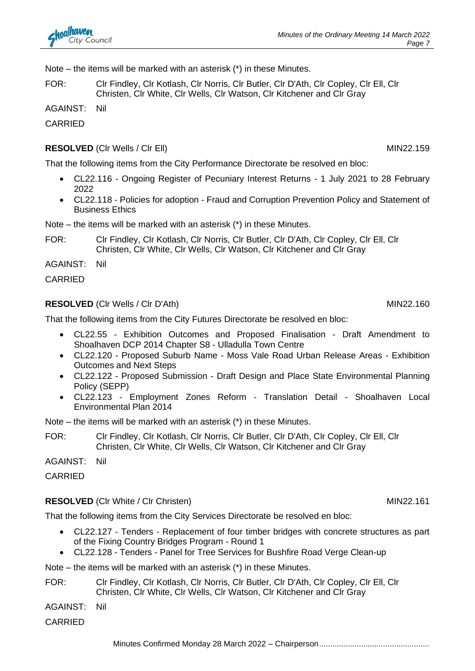Note – the items will be marked with an asterisk (\*) in these Minutes.

FOR: Clr Findley, Clr Kotlash, Clr Norris, Clr Butler, Clr D'Ath, Clr Copley, Clr Ell, Clr Christen, Clr White, Clr Wells, Clr Watson, Clr Kitchener and Clr Gray

AGAINST: Nil

CARRIED

### **RESOLVED** (CIr Wells / CIr Ell) MIN22.159

That the following items from the City Performance Directorate be resolved en bloc:

- CL22.116 Ongoing Register of Pecuniary Interest Returns 1 July 2021 to 28 February 2022
- CL22.118 Policies for adoption Fraud and Corruption Prevention Policy and Statement of Business Ethics

Note – the items will be marked with an asterisk (\*) in these Minutes.

FOR: Clr Findley, Clr Kotlash, Clr Norris, Clr Butler, Clr D'Ath, Clr Copley, Clr Ell, Clr Christen, Clr White, Clr Wells, Clr Watson, Clr Kitchener and Clr Gray

AGAINST: Nil

CARRIED

#### **RESOLVED** (Clr Wells / Clr D'Ath) MIN22.160

That the following items from the City Futures Directorate be resolved en bloc:

- CL22.55 Exhibition Outcomes and Proposed Finalisation Draft Amendment to Shoalhaven DCP 2014 Chapter S8 - Ulladulla Town Centre
- CL22.120 Proposed Suburb Name Moss Vale Road Urban Release Areas Exhibition Outcomes and Next Steps
- CL22.122 Proposed Submission Draft Design and Place State Environmental Planning Policy (SEPP)
- CL22.123 Employment Zones Reform Translation Detail Shoalhaven Local Environmental Plan 2014

Note – the items will be marked with an asterisk (\*) in these Minutes.

FOR: Clr Findley, Clr Kotlash, Clr Norris, Clr Butler, Clr D'Ath, Clr Copley, Clr Ell, Clr Christen, Clr White, Clr Wells, Clr Watson, Clr Kitchener and Clr Gray

AGAINST: Nil

CARRIED

## **RESOLVED** (CIr White / CIr Christen) MIN22.161

That the following items from the City Services Directorate be resolved en bloc:

- CL22.127 Tenders Replacement of four timber bridges with concrete structures as part of the Fixing Country Bridges Program - Round 1
- CL22.128 Tenders Panel for Tree Services for Bushfire Road Verge Clean-up

Note – the items will be marked with an asterisk (\*) in these Minutes.

FOR: Clr Findley, Clr Kotlash, Clr Norris, Clr Butler, Clr D'Ath, Clr Copley, Clr Ell, Clr Christen, Clr White, Clr Wells, Clr Watson, Clr Kitchener and Clr Gray

AGAINST: Nil

CARRIED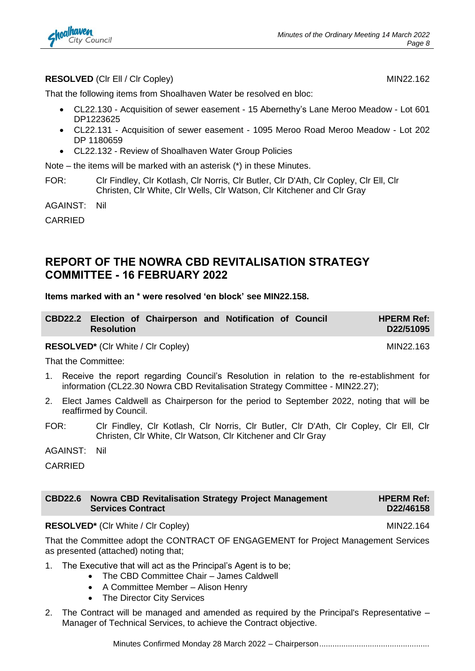

#### **RESOLVED** (CIr Ell / Cir Copley) MIN22.162

That the following items from Shoalhaven Water be resolved en bloc:

- CL22.130 Acquisition of sewer easement 15 Abernethy's Lane Meroo Meadow Lot 601 DP1223625
- CL22.131 Acquisition of sewer easement 1095 Meroo Road Meroo Meadow Lot 202 DP 1180659
- CL22.132 Review of Shoalhaven Water Group Policies

Note – the items will be marked with an asterisk (\*) in these Minutes.

FOR: Clr Findley, Clr Kotlash, Clr Norris, Clr Butler, Clr D'Ath, Clr Copley, Clr Ell, Clr Christen, Clr White, Clr Wells, Clr Watson, Clr Kitchener and Clr Gray

AGAINST: Nil

CARRIED

#### **REPORT OF THE NOWRA CBD REVITALISATION STRATEGY COMMITTEE - 16 FEBRUARY 2022**

#### **Items marked with an \* were resolved 'en block' see MIN22.158.**

|                   | CBD22.2 Election of Chairperson and Notification of Council |  |  | <b>HPERM Ref:</b> |
|-------------------|-------------------------------------------------------------|--|--|-------------------|
| <b>Resolution</b> |                                                             |  |  | D22/51095         |

**RESOLVED<sup>\*</sup>** (CIr White / CIr Copley) MIN22.163

That the Committee:

- 1. Receive the report regarding Council's Resolution in relation to the re-establishment for information (CL22.30 Nowra CBD Revitalisation Strategy Committee - MIN22.27);
- 2. Elect James Caldwell as Chairperson for the period to September 2022, noting that will be reaffirmed by Council.
- FOR: Clr Findley, Clr Kotlash, Clr Norris, Clr Butler, Clr D'Ath, Clr Copley, Clr Ell, Clr Christen, Clr White, Clr Watson, Clr Kitchener and Clr Gray
- AGAINST: Nil

CARRIED

#### **CBD22.6 Nowra CBD Revitalisation Strategy Project Management Services Contract HPERM Ref: D22/46158**

#### **RESOLVED<sup>\*</sup>** (CIr White / CIr Copley) MIN22.164

That the Committee adopt the CONTRACT OF ENGAGEMENT for Project Management Services as presented (attached) noting that;

- 1. The Executive that will act as the Principal's Agent is to be;
	- The CBD Committee Chair James Caldwell
	- A Committee Member Alison Henry
	- The Director City Services
- 2. The Contract will be managed and amended as required by the Principal's Representative Manager of Technical Services, to achieve the Contract objective.

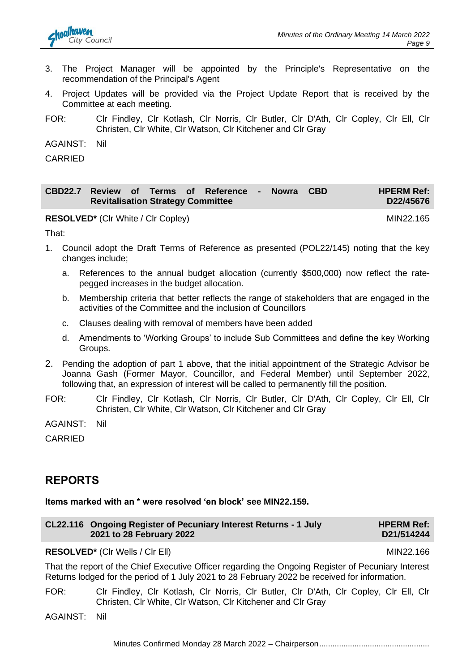

- 3. The Project Manager will be appointed by the Principle's Representative on the recommendation of the Principal's Agent
- 4. Project Updates will be provided via the Project Update Report that is received by the Committee at each meeting.
- FOR: Clr Findley, Clr Kotlash, Clr Norris, Clr Butler, Clr D'Ath, Clr Copley, Clr Ell, Clr Christen, Clr White, Clr Watson, Clr Kitchener and Clr Gray

AGAINST: Nil

CARRIED

|                                          |  | CBD22.7 Review of Terms of Reference - Nowra CBD |  | <b>HPERM Ref:</b> |
|------------------------------------------|--|--------------------------------------------------|--|-------------------|
| <b>Revitalisation Strategy Committee</b> |  |                                                  |  | D22/45676         |

**RESOLVED<sup>\*</sup>** (CIr White / CIr Copley) MIN22.165

That:

- 1. Council adopt the Draft Terms of Reference as presented (POL22/145) noting that the key changes include;
	- a. References to the annual budget allocation (currently \$500,000) now reflect the ratepegged increases in the budget allocation.
	- b. Membership criteria that better reflects the range of stakeholders that are engaged in the activities of the Committee and the inclusion of Councillors
	- c. Clauses dealing with removal of members have been added
	- d. Amendments to 'Working Groups' to include Sub Committees and define the key Working Groups.
- 2. Pending the adoption of part 1 above, that the initial appointment of the Strategic Advisor be Joanna Gash (Former Mayor, Councillor, and Federal Member) until September 2022, following that, an expression of interest will be called to permanently fill the position.
- FOR: Clr Findley, Clr Kotlash, Clr Norris, Clr Butler, Clr D'Ath, Clr Copley, Clr Ell, Clr Christen, Clr White, Clr Watson, Clr Kitchener and Clr Gray

AGAINST: Nil

CARRIED

#### **REPORTS**

**Items marked with an \* were resolved 'en block' see MIN22.159.**

| CL22.116 Ongoing Register of Pecuniary Interest Returns - 1 July | <b>HPERM Ref:</b> |
|------------------------------------------------------------------|-------------------|
| 2021 to 28 February 2022                                         | D21/514244        |

#### **RESOLVED<sup>\*</sup>** (CIr Wells / CIr Ell) MIN22.166

That the report of the Chief Executive Officer regarding the Ongoing Register of Pecuniary Interest Returns lodged for the period of 1 July 2021 to 28 February 2022 be received for information.

FOR: Clr Findley, Clr Kotlash, Clr Norris, Clr Butler, Clr D'Ath, Clr Copley, Clr Ell, Clr Christen, Clr White, Clr Watson, Clr Kitchener and Clr Gray

AGAINST: Nil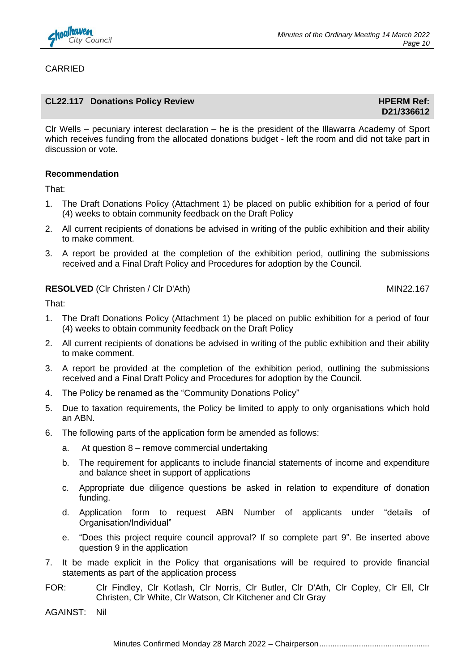

#### CARRIED

#### **CL22.117** Donations Policy Review **All Accords**  $\blacksquare$  **HPERM Ref:**  $\blacksquare$

**D21/336612**

Clr Wells – pecuniary interest declaration – he is the president of the Illawarra Academy of Sport which receives funding from the allocated donations budget - left the room and did not take part in discussion or vote.

#### **Recommendation**

That:

- 1. The Draft Donations Policy (Attachment 1) be placed on public exhibition for a period of four (4) weeks to obtain community feedback on the Draft Policy
- 2. All current recipients of donations be advised in writing of the public exhibition and their ability to make comment.
- 3. A report be provided at the completion of the exhibition period, outlining the submissions received and a Final Draft Policy and Procedures for adoption by the Council.

#### **RESOLVED** (CIr Christen / CIr D'Ath) MIN22.167

That:

- 1. The Draft Donations Policy (Attachment 1) be placed on public exhibition for a period of four (4) weeks to obtain community feedback on the Draft Policy
- 2. All current recipients of donations be advised in writing of the public exhibition and their ability to make comment.
- 3. A report be provided at the completion of the exhibition period, outlining the submissions received and a Final Draft Policy and Procedures for adoption by the Council.
- 4. The Policy be renamed as the "Community Donations Policy"
- 5. Due to taxation requirements, the Policy be limited to apply to only organisations which hold an ABN.
- 6. The following parts of the application form be amended as follows:
	- a. At question 8 remove commercial undertaking
	- b. The requirement for applicants to include financial statements of income and expenditure and balance sheet in support of applications
	- c. Appropriate due diligence questions be asked in relation to expenditure of donation funding.
	- d. Application form to request ABN Number of applicants under "details of Organisation/Individual"
	- e. "Does this project require council approval? If so complete part 9". Be inserted above question 9 in the application
- 7. It be made explicit in the Policy that organisations will be required to provide financial statements as part of the application process
- FOR: Clr Findley, Clr Kotlash, Clr Norris, Clr Butler, Clr D'Ath, Clr Copley, Clr Ell, Clr Christen, Clr White, Clr Watson, Clr Kitchener and Clr Gray

AGAINST: Nil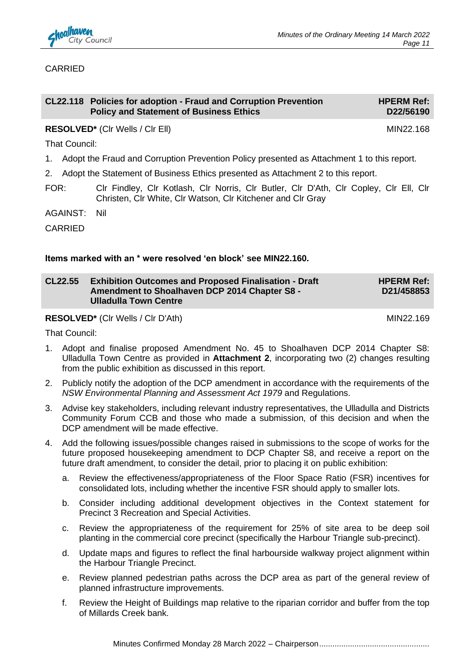

#### CARRIED

|      |                                                                                               | CL22.118 Policies for adoption - Fraud and Corruption Prevention<br><b>Policy and Statement of Business Ethics</b>                                   | <b>HPERM Ref:</b><br>D22/56190 |  |  |
|------|-----------------------------------------------------------------------------------------------|------------------------------------------------------------------------------------------------------------------------------------------------------|--------------------------------|--|--|
|      |                                                                                               | <b>RESOLVED*</b> (CIr Wells / CIr Ell)                                                                                                               | MIN22.168                      |  |  |
|      | That Council:                                                                                 |                                                                                                                                                      |                                |  |  |
|      | 1. Adopt the Fraud and Corruption Prevention Policy presented as Attachment 1 to this report. |                                                                                                                                                      |                                |  |  |
| 2.   |                                                                                               | Adopt the Statement of Business Ethics presented as Attachment 2 to this report.                                                                     |                                |  |  |
| FOR: |                                                                                               | CIr Findley, CIr Kotlash, CIr Norris, CIr Butler, CIr D'Ath, CIr Copley, CIr Ell, CIr<br>Christen, CIr White, CIr Watson, CIr Kitchener and CIr Gray |                                |  |  |
|      | . <del>.</del>                                                                                |                                                                                                                                                      |                                |  |  |

AGAINST: Nil

CARRIED

#### **Items marked with an \* were resolved 'en block' see MIN22.160.**

| <b>CL22.55</b> | <b>Exhibition Outcomes and Proposed Finalisation - Draft</b> | <b>HPERM Ref:</b> |
|----------------|--------------------------------------------------------------|-------------------|
|                | Amendment to Shoalhaven DCP 2014 Chapter S8 -                | D21/458853        |
|                | <b>Ulladulla Town Centre</b>                                 |                   |

**RESOLVED\*** (Cir Wells / Cir D'Ath) MIN22.169

That Council:

- 1. Adopt and finalise proposed Amendment No. 45 to Shoalhaven DCP 2014 Chapter S8: Ulladulla Town Centre as provided in **Attachment 2**, incorporating two (2) changes resulting from the public exhibition as discussed in this report.
- 2. Publicly notify the adoption of the DCP amendment in accordance with the requirements of the *NSW Environmental Planning and Assessment Act 1979* and Regulations.
- 3. Advise key stakeholders, including relevant industry representatives, the Ulladulla and Districts Community Forum CCB and those who made a submission, of this decision and when the DCP amendment will be made effective.
- 4. Add the following issues/possible changes raised in submissions to the scope of works for the future proposed housekeeping amendment to DCP Chapter S8, and receive a report on the future draft amendment, to consider the detail, prior to placing it on public exhibition:
	- a. Review the effectiveness/appropriateness of the Floor Space Ratio (FSR) incentives for consolidated lots, including whether the incentive FSR should apply to smaller lots.
	- b. Consider including additional development objectives in the Context statement for Precinct 3 Recreation and Special Activities.
	- c. Review the appropriateness of the requirement for 25% of site area to be deep soil planting in the commercial core precinct (specifically the Harbour Triangle sub-precinct).
	- d. Update maps and figures to reflect the final harbourside walkway project alignment within the Harbour Triangle Precinct.
	- e. Review planned pedestrian paths across the DCP area as part of the general review of planned infrastructure improvements.
	- f. Review the Height of Buildings map relative to the riparian corridor and buffer from the top of Millards Creek bank.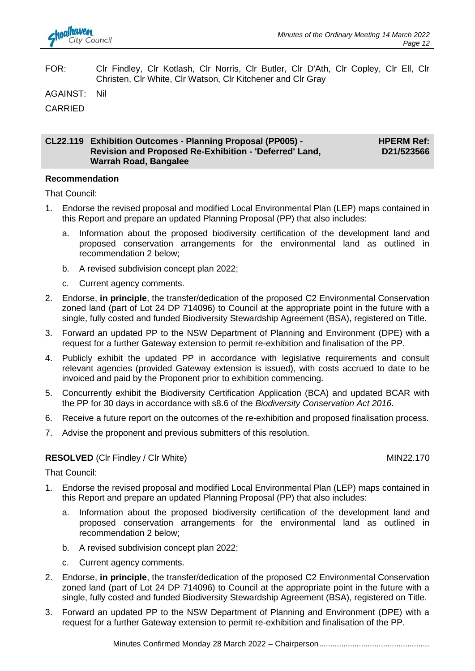FOR: Clr Findley, Clr Kotlash, Clr Norris, Clr Butler, Clr D'Ath, Clr Copley, Clr Ell, Clr Christen, Clr White, Clr Watson, Clr Kitchener and Clr Gray

AGAINST: Nil

CARRIED

#### **CL22.119 Exhibition Outcomes - Planning Proposal (PP005) - Revision and Proposed Re-Exhibition - 'Deferred' Land, Warrah Road, Bangalee HPERM Ref: D21/523566**

#### **Recommendation**

That Council:

- 1. Endorse the revised proposal and modified Local Environmental Plan (LEP) maps contained in this Report and prepare an updated Planning Proposal (PP) that also includes:
	- a. Information about the proposed biodiversity certification of the development land and proposed conservation arrangements for the environmental land as outlined in recommendation 2 below;
	- b. A revised subdivision concept plan 2022;
	- c. Current agency comments.
- 2. Endorse, **in principle**, the transfer/dedication of the proposed C2 Environmental Conservation zoned land (part of Lot 24 DP 714096) to Council at the appropriate point in the future with a single, fully costed and funded Biodiversity Stewardship Agreement (BSA), registered on Title.
- 3. Forward an updated PP to the NSW Department of Planning and Environment (DPE) with a request for a further Gateway extension to permit re-exhibition and finalisation of the PP.
- 4. Publicly exhibit the updated PP in accordance with legislative requirements and consult relevant agencies (provided Gateway extension is issued), with costs accrued to date to be invoiced and paid by the Proponent prior to exhibition commencing.
- 5. Concurrently exhibit the Biodiversity Certification Application (BCA) and updated BCAR with the PP for 30 days in accordance with s8.6 of the *Biodiversity Conservation Act 2016*.
- 6. Receive a future report on the outcomes of the re-exhibition and proposed finalisation process.
- 7. Advise the proponent and previous submitters of this resolution.

#### **RESOLVED** (CIr Findley / CIr White) MIN22.170

That Council:

- 1. Endorse the revised proposal and modified Local Environmental Plan (LEP) maps contained in this Report and prepare an updated Planning Proposal (PP) that also includes:
	- a. Information about the proposed biodiversity certification of the development land and proposed conservation arrangements for the environmental land as outlined in recommendation 2 below;
	- b. A revised subdivision concept plan 2022;
	- c. Current agency comments.
- 2. Endorse, **in principle**, the transfer/dedication of the proposed C2 Environmental Conservation zoned land (part of Lot 24 DP 714096) to Council at the appropriate point in the future with a single, fully costed and funded Biodiversity Stewardship Agreement (BSA), registered on Title.
- 3. Forward an updated PP to the NSW Department of Planning and Environment (DPE) with a request for a further Gateway extension to permit re-exhibition and finalisation of the PP.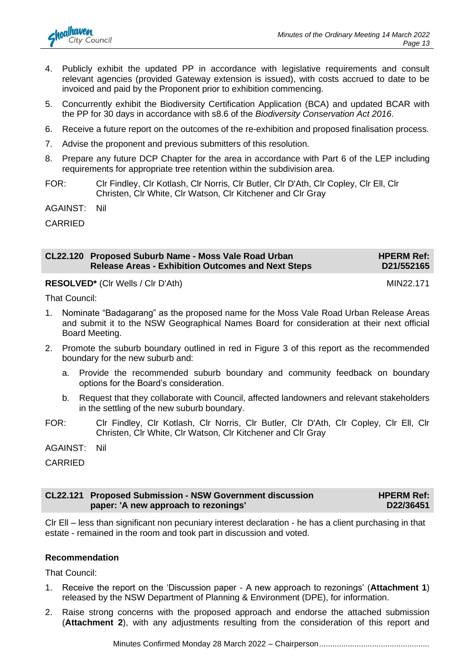

- 4. Publicly exhibit the updated PP in accordance with legislative requirements and consult relevant agencies (provided Gateway extension is issued), with costs accrued to date to be invoiced and paid by the Proponent prior to exhibition commencing.
- 5. Concurrently exhibit the Biodiversity Certification Application (BCA) and updated BCAR with the PP for 30 days in accordance with s8.6 of the *Biodiversity Conservation Act 2016*.
- 6. Receive a future report on the outcomes of the re-exhibition and proposed finalisation process.
- 7. Advise the proponent and previous submitters of this resolution.
- 8. Prepare any future DCP Chapter for the area in accordance with Part 6 of the LEP including requirements for appropriate tree retention within the subdivision area.
- FOR: Clr Findley, Clr Kotlash, Clr Norris, Clr Butler, Clr D'Ath, Clr Copley, Clr Ell, Clr Christen, Clr White, Clr Watson, Clr Kitchener and Clr Gray

AGAINST: Nil

CARRIED

| CL22.120 Proposed Suburb Name - Moss Vale Road Urban      | <b>HPERM Ref:</b> |
|-----------------------------------------------------------|-------------------|
| <b>Release Areas - Exhibition Outcomes and Next Steps</b> | D21/552165        |

**RESOLVED<sup>\*</sup>** (CIr Wells / CIr D'Ath) MIN22.171

That Council:

- 1. Nominate "Badagarang" as the proposed name for the Moss Vale Road Urban Release Areas and submit it to the NSW Geographical Names Board for consideration at their next official Board Meeting.
- 2. Promote the suburb boundary outlined in red in Figure 3 of this report as the recommended boundary for the new suburb and:
	- a. Provide the recommended suburb boundary and community feedback on boundary options for the Board's consideration.
	- b. Request that they collaborate with Council, affected landowners and relevant stakeholders in the settling of the new suburb boundary.
- FOR: Clr Findley, Clr Kotlash, Clr Norris, Clr Butler, Clr D'Ath, Clr Copley, Clr Ell, Clr Christen, Clr White, Clr Watson, Clr Kitchener and Clr Gray

AGAINST: Nil

**CARRIED** 

| <b>CL22.121 Proposed Submission - NSW Government discussion</b> | <b>HPERM Ref:</b> |
|-----------------------------------------------------------------|-------------------|
| paper: 'A new approach to rezonings'                            | D22/36451         |

Clr Ell – less than significant non pecuniary interest declaration - he has a client purchasing in that estate - remained in the room and took part in discussion and voted.

#### **Recommendation**

That Council:

- 1. Receive the report on the 'Discussion paper A new approach to rezonings' (**Attachment 1**) released by the NSW Department of Planning & Environment (DPE), for information.
- 2. Raise strong concerns with the proposed approach and endorse the attached submission (**Attachment 2**), with any adjustments resulting from the consideration of this report and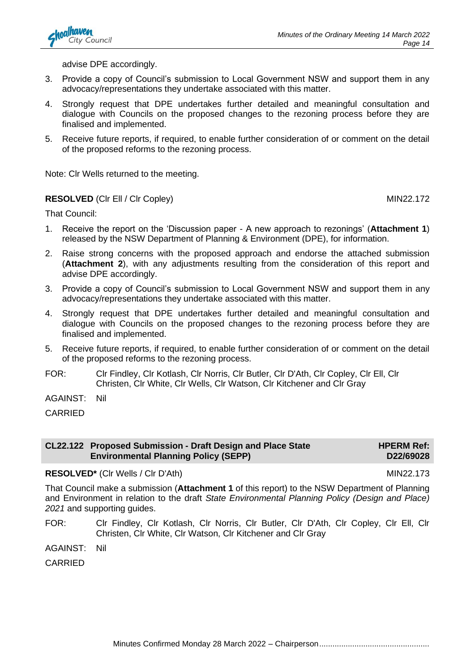

advise DPE accordingly.

- 3. Provide a copy of Council's submission to Local Government NSW and support them in any advocacy/representations they undertake associated with this matter.
- 4. Strongly request that DPE undertakes further detailed and meaningful consultation and dialogue with Councils on the proposed changes to the rezoning process before they are finalised and implemented.
- 5. Receive future reports, if required, to enable further consideration of or comment on the detail of the proposed reforms to the rezoning process.

Note: Clr Wells returned to the meeting.

#### **RESOLVED** (CIr Ell / CIr Copley) MIN22.172

**HPERM Ref: D22/69028**

That Council:

- 1. Receive the report on the 'Discussion paper A new approach to rezonings' (**Attachment 1**) released by the NSW Department of Planning & Environment (DPE), for information.
- 2. Raise strong concerns with the proposed approach and endorse the attached submission (**Attachment 2**), with any adjustments resulting from the consideration of this report and advise DPE accordingly.
- 3. Provide a copy of Council's submission to Local Government NSW and support them in any advocacy/representations they undertake associated with this matter.
- 4. Strongly request that DPE undertakes further detailed and meaningful consultation and dialogue with Councils on the proposed changes to the rezoning process before they are finalised and implemented.
- 5. Receive future reports, if required, to enable further consideration of or comment on the detail of the proposed reforms to the rezoning process.
- FOR: Clr Findley, Clr Kotlash, Clr Norris, Clr Butler, Clr D'Ath, Clr Copley, Clr Ell, Clr Christen, Clr White, Clr Wells, Clr Watson, Clr Kitchener and Clr Gray

AGAINST: Nil

CARRIED

| CL22.122 Proposed Submission - Draft Design and Place State |
|-------------------------------------------------------------|
| <b>Environmental Planning Policy (SEPP)</b>                 |

#### **RESOLVED\*** (Cir Wells / Cir D'Ath) MIN22.173

That Council make a submission (**Attachment 1** of this report) to the NSW Department of Planning and Environment in relation to the draft *State Environmental Planning Policy (Design and Place) 2021* and supporting guides.

FOR: Clr Findley, Clr Kotlash, Clr Norris, Clr Butler, Clr D'Ath, Clr Copley, Clr Ell, Clr Christen, Clr White, Clr Watson, Clr Kitchener and Clr Gray

AGAINST: Nil

CARRIED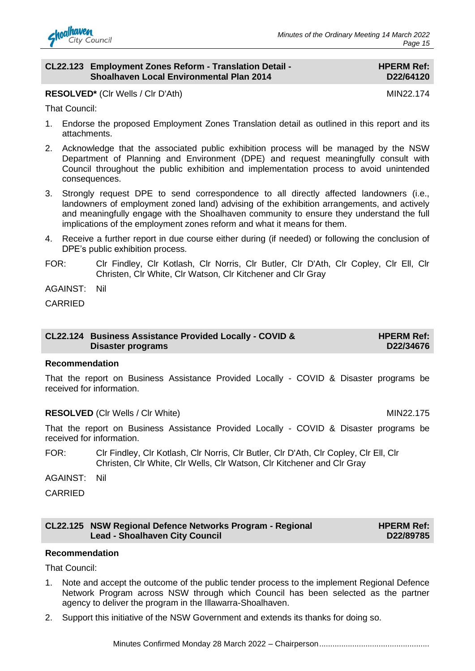

#### **CL22.123 Employment Zones Reform - Translation Detail - Shoalhaven Local Environmental Plan 2014**

#### **HPERM Ref: D22/64120**

**RESOLVED\*** (Cir Wells / Cir D'Ath) MIN22.174

That Council:

- 1. Endorse the proposed Employment Zones Translation detail as outlined in this report and its attachments.
- 2. Acknowledge that the associated public exhibition process will be managed by the NSW Department of Planning and Environment (DPE) and request meaningfully consult with Council throughout the public exhibition and implementation process to avoid unintended consequences.
- 3. Strongly request DPE to send correspondence to all directly affected landowners (i.e., landowners of employment zoned land) advising of the exhibition arrangements, and actively and meaningfully engage with the Shoalhaven community to ensure they understand the full implications of the employment zones reform and what it means for them.
- 4. Receive a further report in due course either during (if needed) or following the conclusion of DPE's public exhibition process.
- FOR: Clr Findley, Clr Kotlash, Clr Norris, Clr Butler, Clr D'Ath, Clr Copley, Clr Ell, Clr Christen, Clr White, Clr Watson, Clr Kitchener and Clr Gray

AGAINST: Nil

CARRIED

#### **CL22.124 Business Assistance Provided Locally - COVID & Disaster programs**

#### **Recommendation**

That the report on Business Assistance Provided Locally - COVID & Disaster programs be received for information.

#### **RESOLVED** (CIr Wells / CIr White) MIN22.175

That the report on Business Assistance Provided Locally - COVID & Disaster programs be received for information.

FOR: Clr Findley, Clr Kotlash, Clr Norris, Clr Butler, Clr D'Ath, Clr Copley, Clr Ell, Clr Christen, Clr White, Clr Wells, Clr Watson, Clr Kitchener and Clr Gray

AGAINST: Nil

CARRIED

#### **CL22.125 NSW Regional Defence Networks Program - Regional Lead - Shoalhaven City Council**

**HPERM Ref: D22/89785**

**HPERM Ref: D22/34676**

#### **Recommendation**

That Council:

- 1. Note and accept the outcome of the public tender process to the implement Regional Defence Network Program across NSW through which Council has been selected as the partner agency to deliver the program in the Illawarra-Shoalhaven.
- 2. Support this initiative of the NSW Government and extends its thanks for doing so.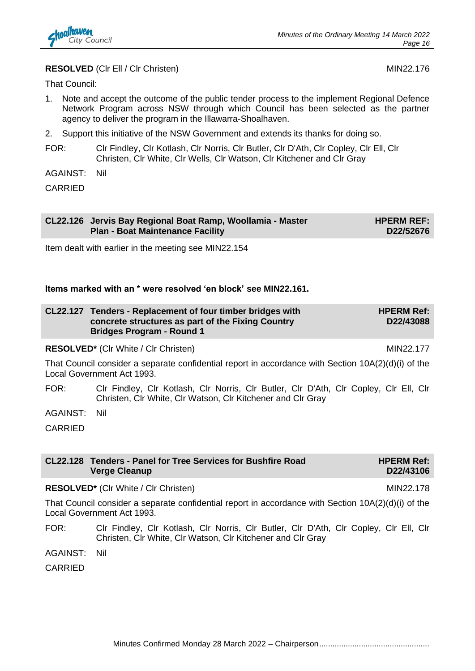

#### **RESOLVED** (CIr Ell / CIr Christen) MIN22.176

That Council:

- 1. Note and accept the outcome of the public tender process to the implement Regional Defence Network Program across NSW through which Council has been selected as the partner agency to deliver the program in the Illawarra-Shoalhaven.
- 2. Support this initiative of the NSW Government and extends its thanks for doing so.
- FOR: Clr Findley, Clr Kotlash, Clr Norris, Clr Butler, Clr D'Ath, Clr Copley, Clr Ell, Clr Christen, Clr White, Clr Wells, Clr Watson, Clr Kitchener and Clr Gray

AGAINST: Nil

CARRIED

| CL22.126 Jervis Bay Regional Boat Ramp, Woollamia - Master<br><b>Plan - Boat Maintenance Facility</b> | <b>HPERM REF:</b><br>D22/52676 |
|-------------------------------------------------------------------------------------------------------|--------------------------------|
|                                                                                                       |                                |

Item dealt with earlier in the meeting see MIN22.154

#### **Items marked with an \* were resolved 'en block' see MIN22.161.**

| CL22.127 Tenders - Replacement of four timber bridges with | <b>HPERM Ref:</b> |
|------------------------------------------------------------|-------------------|
| concrete structures as part of the Fixing Country          | D22/43088         |
| <b>Bridges Program - Round 1</b>                           |                   |

#### **RESOLVED<sup>\*</sup>** (CIr White / CIr Christen) MIN22.177

That Council consider a separate confidential report in accordance with Section 10A(2)(d)(i) of the Local Government Act 1993.

FOR: Clr Findley, Clr Kotlash, Clr Norris, Clr Butler, Clr D'Ath, Clr Copley, Clr Ell, Clr Christen, Clr White, Clr Watson, Clr Kitchener and Clr Gray

AGAINST: Nil

CARRIED

| CL22.128 Tenders - Panel for Tree Services for Bushfire Road<br><b>Verge Cleanup</b> | <b>HPERM Ref:</b><br>D22/43106 |
|--------------------------------------------------------------------------------------|--------------------------------|
| <b>RESOLVED*</b> (CIr White / CIr Christen)                                          | MIN22.178                      |

That Council consider a separate confidential report in accordance with Section 10A(2)(d)(i) of the Local Government Act 1993.

FOR: Clr Findley, Clr Kotlash, Clr Norris, Clr Butler, Clr D'Ath, Clr Copley, Clr Ell, Clr Christen, Clr White, Clr Watson, Clr Kitchener and Clr Gray

AGAINST: Nil

CARRIED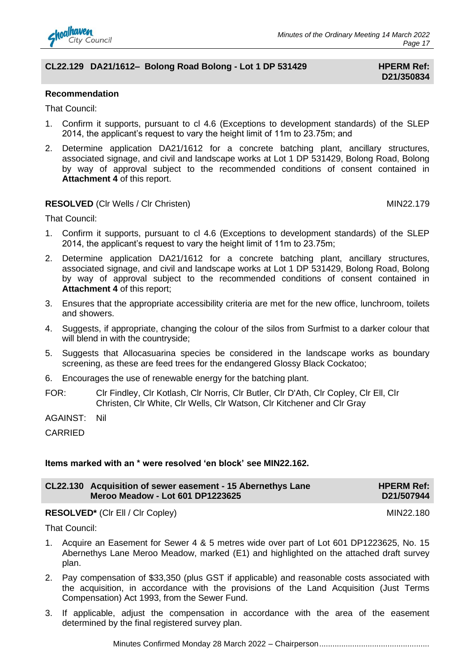

#### **CL22.129 DA21/1612– Bolong Road Bolong - Lot 1 DP 531429 HPERM Ref:**

# **D21/350834**

#### **Recommendation**

That Council:

- 1. Confirm it supports, pursuant to cl 4.6 (Exceptions to development standards) of the SLEP 2014, the applicant's request to vary the height limit of 11m to 23.75m; and
- 2. Determine application DA21/1612 for a concrete batching plant, ancillary structures, associated signage, and civil and landscape works at Lot 1 DP 531429, Bolong Road, Bolong by way of approval subject to the recommended conditions of consent contained in **Attachment 4** of this report.

#### **RESOLVED** (Clr Wells / Clr Christen) MIN22.179

**HPERM Ref: D21/507944**

That Council:

- 1. Confirm it supports, pursuant to cl 4.6 (Exceptions to development standards) of the SLEP 2014, the applicant's request to vary the height limit of 11m to 23.75m;
- 2. Determine application DA21/1612 for a concrete batching plant, ancillary structures, associated signage, and civil and landscape works at Lot 1 DP 531429, Bolong Road, Bolong by way of approval subject to the recommended conditions of consent contained in **Attachment 4** of this report;
- 3. Ensures that the appropriate accessibility criteria are met for the new office, lunchroom, toilets and showers.
- 4. Suggests, if appropriate, changing the colour of the silos from Surfmist to a darker colour that will blend in with the countryside;
- 5. Suggests that Allocasuarina species be considered in the landscape works as boundary screening, as these are feed trees for the endangered Glossy Black Cockatoo;
- 6. Encourages the use of renewable energy for the batching plant.
- FOR: Clr Findley, Clr Kotlash, Clr Norris, Clr Butler, Clr D'Ath, Clr Copley, Clr Ell, Clr Christen, Clr White, Clr Wells, Clr Watson, Clr Kitchener and Clr Gray

AGAINST: Nil

CARRIED

#### **Items marked with an \* were resolved 'en block' see MIN22.162.**

**CL22.130 Acquisition of sewer easement - 15 Abernethys Lane Meroo Meadow - Lot 601 DP1223625**

#### **RESOLVED<sup>\*</sup>** (CIr Ell / CIr Copley) MIN22.180

That Council:

- 1. Acquire an Easement for Sewer 4 & 5 metres wide over part of Lot 601 DP1223625, No. 15 Abernethys Lane Meroo Meadow, marked (E1) and highlighted on the attached draft survey plan.
- 2. Pay compensation of \$33,350 (plus GST if applicable) and reasonable costs associated with the acquisition, in accordance with the provisions of the Land Acquisition (Just Terms Compensation) Act 1993, from the Sewer Fund.
- 3. If applicable, adjust the compensation in accordance with the area of the easement determined by the final registered survey plan.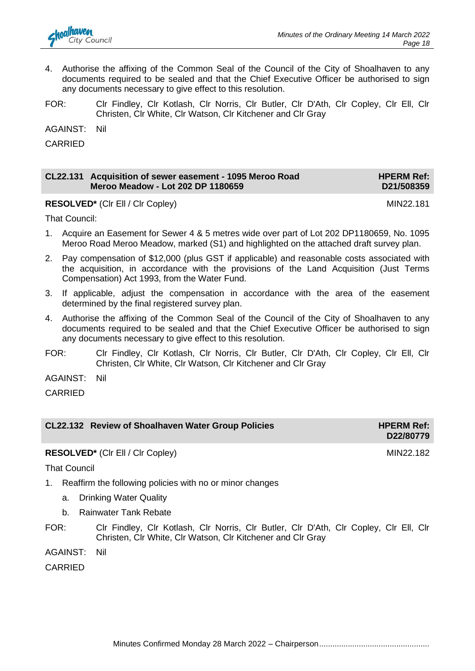

- 4. Authorise the affixing of the Common Seal of the Council of the City of Shoalhaven to any documents required to be sealed and that the Chief Executive Officer be authorised to sign any documents necessary to give effect to this resolution.
- FOR: Clr Findley, Clr Kotlash, Clr Norris, Clr Butler, Clr D'Ath, Clr Copley, Clr Ell, Clr Christen, Clr White, Clr Watson, Clr Kitchener and Clr Gray

AGAINST: Nil

CARRIED

| CL22.131 Acquisition of sewer easement - 1095 Meroo Road | <b>HPERM Ref:</b> |
|----------------------------------------------------------|-------------------|
| Meroo Meadow - Lot 202 DP 1180659                        | D21/508359        |

**RESOLVED\*** (CIr Ell / CIr Copley) MIN22.181

That Council:

- 1. Acquire an Easement for Sewer 4 & 5 metres wide over part of Lot 202 DP1180659, No. 1095 Meroo Road Meroo Meadow, marked (S1) and highlighted on the attached draft survey plan.
- 2. Pay compensation of \$12,000 (plus GST if applicable) and reasonable costs associated with the acquisition, in accordance with the provisions of the Land Acquisition (Just Terms Compensation) Act 1993, from the Water Fund.
- 3. If applicable, adjust the compensation in accordance with the area of the easement determined by the final registered survey plan.
- 4. Authorise the affixing of the Common Seal of the Council of the City of Shoalhaven to any documents required to be sealed and that the Chief Executive Officer be authorised to sign any documents necessary to give effect to this resolution.
- FOR: Clr Findley, Clr Kotlash, Clr Norris, Clr Butler, Clr D'Ath, Clr Copley, Clr Ell, Clr Christen, Clr White, Clr Watson, Clr Kitchener and Clr Gray

AGAINST: Nil

CARRIED

|  | CL22.132 Review of Shoalhaven Water Group Policies |  |
|--|----------------------------------------------------|--|
|--|----------------------------------------------------|--|

**RESOLVED\*** (CIr Ell / CIr Copley) MIN22.182

That Council

- 1. Reaffirm the following policies with no or minor changes
	- a. Drinking Water Quality
	- b. Rainwater Tank Rebate
- FOR: Clr Findley, Clr Kotlash, Clr Norris, Clr Butler, Clr D'Ath, Clr Copley, Clr Ell, Clr Christen, Clr White, Clr Watson, Clr Kitchener and Clr Gray

AGAINST: Nil

CARRIED

Minutes Confirmed Monday 28 March 2022 – Chairperson..................................................

**D22/80779**

**HPERM Ref:** 

**D21/508359**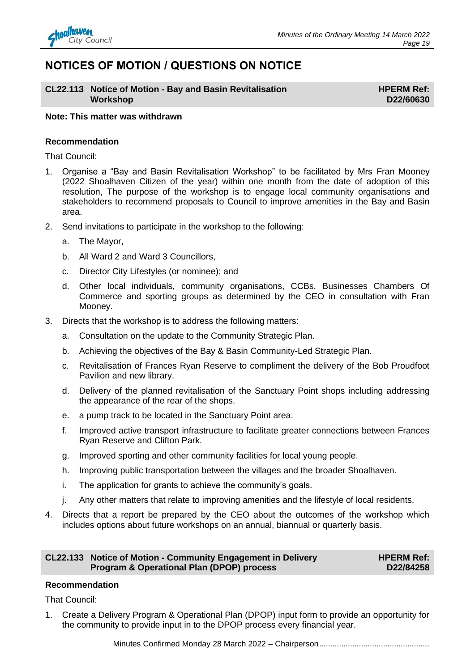

### **NOTICES OF MOTION / QUESTIONS ON NOTICE**

#### **CL22.113 Notice of Motion - Bay and Basin Revitalisation Workshop**

**HPERM Ref: D22/60630**

#### **Note: This matter was withdrawn**

#### **Recommendation**

That Council:

- 1. Organise a "Bay and Basin Revitalisation Workshop" to be facilitated by Mrs Fran Mooney (2022 Shoalhaven Citizen of the year) within one month from the date of adoption of this resolution, The purpose of the workshop is to engage local community organisations and stakeholders to recommend proposals to Council to improve amenities in the Bay and Basin area.
- 2. Send invitations to participate in the workshop to the following:
	- a. The Mayor,
	- b. All Ward 2 and Ward 3 Councillors,
	- c. Director City Lifestyles (or nominee); and
	- d. Other local individuals, community organisations, CCBs, Businesses Chambers Of Commerce and sporting groups as determined by the CEO in consultation with Fran Mooney.
- 3. Directs that the workshop is to address the following matters:
	- a. Consultation on the update to the Community Strategic Plan.
	- b. Achieving the objectives of the Bay & Basin Community-Led Strategic Plan.
	- c. Revitalisation of Frances Ryan Reserve to compliment the delivery of the Bob Proudfoot Pavilion and new library.
	- d. Delivery of the planned revitalisation of the Sanctuary Point shops including addressing the appearance of the rear of the shops.
	- e. a pump track to be located in the Sanctuary Point area.
	- f. Improved active transport infrastructure to facilitate greater connections between Frances Ryan Reserve and Clifton Park.
	- g. Improved sporting and other community facilities for local young people.
	- h. Improving public transportation between the villages and the broader Shoalhaven.
	- i. The application for grants to achieve the community's goals.
	- j. Any other matters that relate to improving amenities and the lifestyle of local residents.
- 4. Directs that a report be prepared by the CEO about the outcomes of the workshop which includes options about future workshops on an annual, biannual or quarterly basis.

#### **CL22.133 Notice of Motion - Community Engagement in Delivery Program & Operational Plan (DPOP) process**

**HPERM Ref: D22/84258**

#### **Recommendation**

That Council:

1. Create a Delivery Program & Operational Plan (DPOP) input form to provide an opportunity for the community to provide input in to the DPOP process every financial year.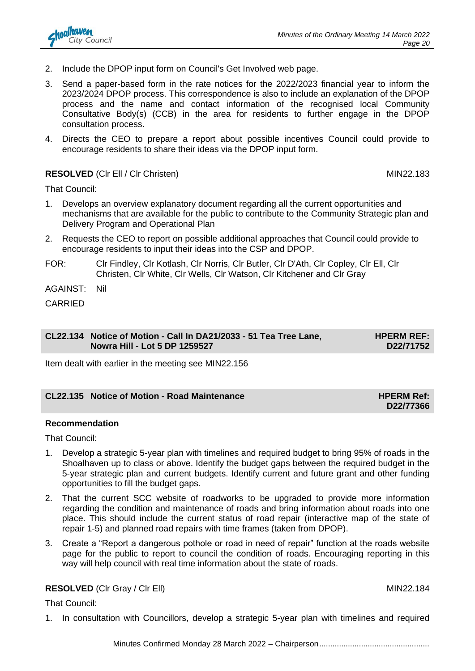- 2. Include the DPOP input form on Council's Get Involved web page.
- 3. Send a paper-based form in the rate notices for the 2022/2023 financial year to inform the 2023/2024 DPOP process. This correspondence is also to include an explanation of the DPOP process and the name and contact information of the recognised local Community Consultative Body(s) (CCB) in the area for residents to further engage in the DPOP consultation process.
- 4. Directs the CEO to prepare a report about possible incentives Council could provide to encourage residents to share their ideas via the DPOP input form.

#### **RESOLVED** (CIr Ell / CIr Christen) **MIN22.183**

That Council:

- 1. Develops an overview explanatory document regarding all the current opportunities and mechanisms that are available for the public to contribute to the Community Strategic plan and Delivery Program and Operational Plan
- 2. Requests the CEO to report on possible additional approaches that Council could provide to encourage residents to input their ideas into the CSP and DPOP.
- FOR: Clr Findley, Clr Kotlash, Clr Norris, Clr Butler, Clr D'Ath, Clr Copley, Clr Ell, Clr Christen, Clr White, Clr Wells, Clr Watson, Clr Kitchener and Clr Gray

AGAINST: Nil

CARRIED

#### **CL22.134 Notice of Motion - Call In DA21/2033 - 51 Tea Tree Lane, Nowra Hill - Lot 5 DP 1259527**

Item dealt with earlier in the meeting see MIN22.156

#### **CL22.135 Notice of Motion - Road Maintenance HPERM Ref:**

#### **Recommendation**

That Council:

- 1. Develop a strategic 5-year plan with timelines and required budget to bring 95% of roads in the Shoalhaven up to class or above. Identify the budget gaps between the required budget in the 5-year strategic plan and current budgets. Identify current and future grant and other funding opportunities to fill the budget gaps.
- 2. That the current SCC website of roadworks to be upgraded to provide more information regarding the condition and maintenance of roads and bring information about roads into one place. This should include the current status of road repair (interactive map of the state of repair 1-5) and planned road repairs with time frames (taken from DPOP).
- 3. Create a "Report a dangerous pothole or road in need of repair" function at the roads website page for the public to report to council the condition of roads. Encouraging reporting in this way will help council with real time information about the state of roads.

#### **RESOLVED** (CIr Gray / CIr Ell) MIN22.184

That Council:

1. In consultation with Councillors, develop a strategic 5-year plan with timelines and required



**D22/77366**

**HPERM REF: D22/71752**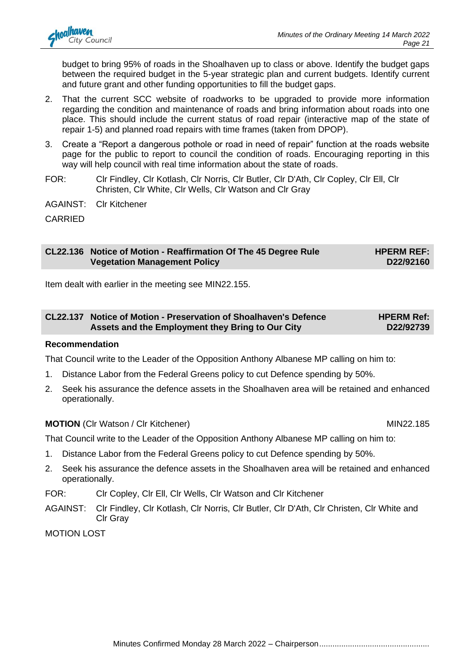budget to bring 95% of roads in the Shoalhaven up to class or above. Identify the budget gaps between the required budget in the 5-year strategic plan and current budgets. Identify current and future grant and other funding opportunities to fill the budget gaps.

- 2. That the current SCC website of roadworks to be upgraded to provide more information regarding the condition and maintenance of roads and bring information about roads into one place. This should include the current status of road repair (interactive map of the state of repair 1-5) and planned road repairs with time frames (taken from DPOP).
- 3. Create a "Report a dangerous pothole or road in need of repair" function at the roads website page for the public to report to council the condition of roads. Encouraging reporting in this way will help council with real time information about the state of roads.
- FOR: Clr Findley, Clr Kotlash, Clr Norris, Clr Butler, Clr D'Ath, Clr Copley, Clr Ell, Clr Christen, Clr White, Clr Wells, Clr Watson and Clr Gray
- AGAINST: Clr Kitchener

CARRIED

#### **CL22.136 Notice of Motion - Reaffirmation Of The 45 Degree Rule Vegetation Management Policy HPERM REF: D22/92160**

Item dealt with earlier in the meeting see MIN22.155.

| CL22.137 Notice of Motion - Preservation of Shoalhaven's Defence | <b>HPERM Ref:</b> |
|------------------------------------------------------------------|-------------------|
| Assets and the Employment they Bring to Our City                 | D22/92739         |

#### **Recommendation**

That Council write to the Leader of the Opposition Anthony Albanese MP calling on him to:

- 1. Distance Labor from the Federal Greens policy to cut Defence spending by 50%.
- 2. Seek his assurance the defence assets in the Shoalhaven area will be retained and enhanced operationally.

#### **MOTION** (CIr Watson / CIr Kitchener) **MIN22.185** MIN22.185

That Council write to the Leader of the Opposition Anthony Albanese MP calling on him to:

- 1. Distance Labor from the Federal Greens policy to cut Defence spending by 50%.
- 2. Seek his assurance the defence assets in the Shoalhaven area will be retained and enhanced operationally.
- FOR: Clr Copley, Clr Ell, Clr Wells, Clr Watson and Clr Kitchener
- AGAINST: Clr Findley, Clr Kotlash, Clr Norris, Clr Butler, Clr D'Ath, Clr Christen, Clr White and Clr Gray

MOTION LOST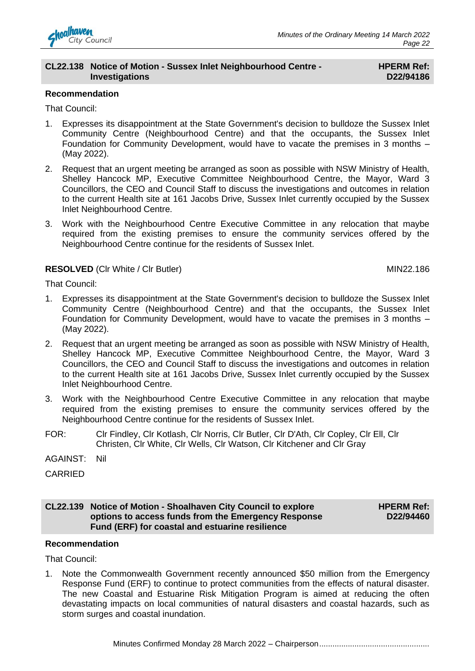

#### **CL22.138 Notice of Motion - Sussex Inlet Neighbourhood Centre - Investigations**

#### **HPERM Ref: D22/94186**

#### **Recommendation**

That Council:

- 1. Expresses its disappointment at the State Government's decision to bulldoze the Sussex Inlet Community Centre (Neighbourhood Centre) and that the occupants, the Sussex Inlet Foundation for Community Development, would have to vacate the premises in 3 months – (May 2022).
- 2. Request that an urgent meeting be arranged as soon as possible with NSW Ministry of Health, Shelley Hancock MP, Executive Committee Neighbourhood Centre, the Mayor, Ward 3 Councillors, the CEO and Council Staff to discuss the investigations and outcomes in relation to the current Health site at 161 Jacobs Drive, Sussex Inlet currently occupied by the Sussex Inlet Neighbourhood Centre.
- 3. Work with the Neighbourhood Centre Executive Committee in any relocation that maybe required from the existing premises to ensure the community services offered by the Neighbourhood Centre continue for the residents of Sussex Inlet.

#### **RESOLVED** (CIr White / CIr Butler) MIN22.186

That Council:

- 1. Expresses its disappointment at the State Government's decision to bulldoze the Sussex Inlet Community Centre (Neighbourhood Centre) and that the occupants, the Sussex Inlet Foundation for Community Development, would have to vacate the premises in 3 months – (May 2022).
- 2. Request that an urgent meeting be arranged as soon as possible with NSW Ministry of Health, Shelley Hancock MP, Executive Committee Neighbourhood Centre, the Mayor, Ward 3 Councillors, the CEO and Council Staff to discuss the investigations and outcomes in relation to the current Health site at 161 Jacobs Drive, Sussex Inlet currently occupied by the Sussex Inlet Neighbourhood Centre.
- 3. Work with the Neighbourhood Centre Executive Committee in any relocation that maybe required from the existing premises to ensure the community services offered by the Neighbourhood Centre continue for the residents of Sussex Inlet.
- FOR: Clr Findley, Clr Kotlash, Clr Norris, Clr Butler, Clr D'Ath, Clr Copley, Clr Ell, Clr Christen, Clr White, Clr Wells, Clr Watson, Clr Kitchener and Clr Gray
- AGAINST: Nil

CARRIED

#### **CL22.139 Notice of Motion - Shoalhaven City Council to explore options to access funds from the Emergency Response Fund (ERF) for coastal and estuarine resilience**

**HPERM Ref: D22/94460**

#### **Recommendation**

That Council:

1. Note the Commonwealth Government recently announced \$50 million from the Emergency Response Fund (ERF) to continue to protect communities from the effects of natural disaster. The new Coastal and Estuarine Risk Mitigation Program is aimed at reducing the often devastating impacts on local communities of natural disasters and coastal hazards, such as storm surges and coastal inundation.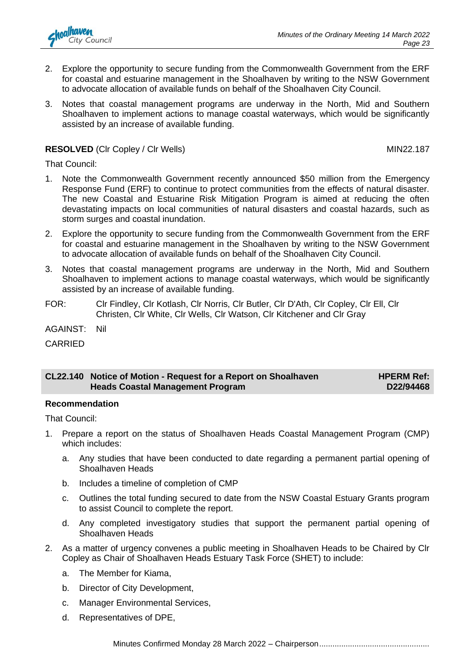

- 2. Explore the opportunity to secure funding from the Commonwealth Government from the ERF for coastal and estuarine management in the Shoalhaven by writing to the NSW Government to advocate allocation of available funds on behalf of the Shoalhaven City Council.
- 3. Notes that coastal management programs are underway in the North, Mid and Southern Shoalhaven to implement actions to manage coastal waterways, which would be significantly assisted by an increase of available funding.

#### **RESOLVED** (Clr Copley / Clr Wells) MIN22.187

That Council:

- 1. Note the Commonwealth Government recently announced \$50 million from the Emergency Response Fund (ERF) to continue to protect communities from the effects of natural disaster. The new Coastal and Estuarine Risk Mitigation Program is aimed at reducing the often devastating impacts on local communities of natural disasters and coastal hazards, such as storm surges and coastal inundation.
- 2. Explore the opportunity to secure funding from the Commonwealth Government from the ERF for coastal and estuarine management in the Shoalhaven by writing to the NSW Government to advocate allocation of available funds on behalf of the Shoalhaven City Council.
- 3. Notes that coastal management programs are underway in the North, Mid and Southern Shoalhaven to implement actions to manage coastal waterways, which would be significantly assisted by an increase of available funding.
- FOR: Clr Findley, Clr Kotlash, Clr Norris, Clr Butler, Clr D'Ath, Clr Copley, Clr Ell, Clr Christen, Clr White, Clr Wells, Clr Watson, Clr Kitchener and Clr Gray

AGAINST: Nil

CARRIED

#### **CL22.140 Notice of Motion - Request for a Report on Shoalhaven Heads Coastal Management Program HPERM Ref: D22/94468**

#### **Recommendation**

That Council:

- 1. Prepare a report on the status of Shoalhaven Heads Coastal Management Program (CMP) which includes:
	- a. Any studies that have been conducted to date regarding a permanent partial opening of Shoalhaven Heads
	- b. Includes a timeline of completion of CMP
	- c. Outlines the total funding secured to date from the NSW Coastal Estuary Grants program to assist Council to complete the report.
	- d. Any completed investigatory studies that support the permanent partial opening of Shoalhaven Heads
- 2. As a matter of urgency convenes a public meeting in Shoalhaven Heads to be Chaired by Clr Copley as Chair of Shoalhaven Heads Estuary Task Force (SHET) to include:
	- a. The Member for Kiama,
	- b. Director of City Development,
	- c. Manager Environmental Services,
	- d. Representatives of DPE,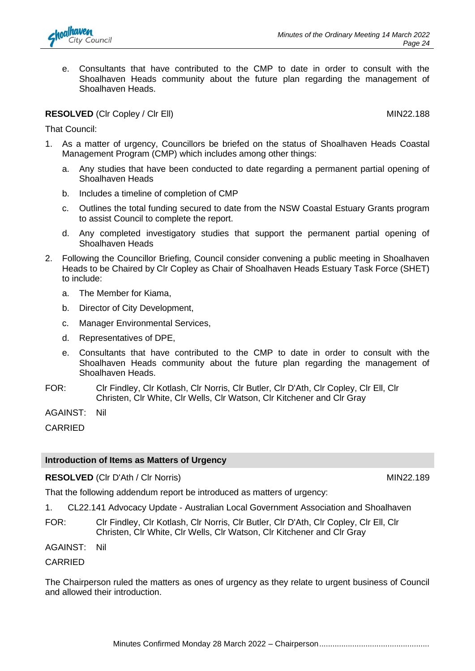

e. Consultants that have contributed to the CMP to date in order to consult with the Shoalhaven Heads community about the future plan regarding the management of Shoalhaven Heads.

#### **RESOLVED** (CIr Copley / CIr Ell) MIN22.188

That Council:

- 1. As a matter of urgency, Councillors be briefed on the status of Shoalhaven Heads Coastal Management Program (CMP) which includes among other things:
	- a. Any studies that have been conducted to date regarding a permanent partial opening of Shoalhaven Heads
	- b. Includes a timeline of completion of CMP
	- c. Outlines the total funding secured to date from the NSW Coastal Estuary Grants program to assist Council to complete the report.
	- d. Any completed investigatory studies that support the permanent partial opening of Shoalhaven Heads
- 2. Following the Councillor Briefing, Council consider convening a public meeting in Shoalhaven Heads to be Chaired by Clr Copley as Chair of Shoalhaven Heads Estuary Task Force (SHET) to include:
	- a. The Member for Kiama,
	- b. Director of City Development,
	- c. Manager Environmental Services,
	- d. Representatives of DPE,
	- e. Consultants that have contributed to the CMP to date in order to consult with the Shoalhaven Heads community about the future plan regarding the management of Shoalhaven Heads.
- FOR: Clr Findley, Clr Kotlash, Clr Norris, Clr Butler, Clr D'Ath, Clr Copley, Clr Ell, Clr Christen, Clr White, Clr Wells, Clr Watson, Clr Kitchener and Clr Gray

AGAINST: Nil

CARRIED

#### **Introduction of Items as Matters of Urgency**

#### **RESOLVED** (Clr D'Ath / Clr Norris) MIN22.189

That the following addendum report be introduced as matters of urgency:

1. CL22.141 Advocacy Update - Australian Local Government Association and Shoalhaven

FOR: Clr Findley, Clr Kotlash, Clr Norris, Clr Butler, Clr D'Ath, Clr Copley, Clr Ell, Clr Christen, Clr White, Clr Wells, Clr Watson, Clr Kitchener and Clr Gray

AGAINST: Nil

CARRIED

The Chairperson ruled the matters as ones of urgency as they relate to urgent business of Council and allowed their introduction.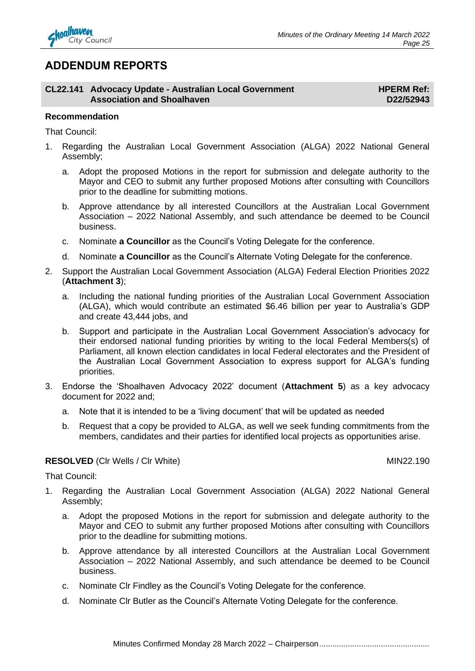

#### **ADDENDUM REPORTS**

**CL22.141 Advocacy Update - Australian Local Government Association and Shoalhaven**

**HPERM Ref: D22/52943**

#### **Recommendation**

That Council:

- 1. Regarding the Australian Local Government Association (ALGA) 2022 National General Assembly;
	- a. Adopt the proposed Motions in the report for submission and delegate authority to the Mayor and CEO to submit any further proposed Motions after consulting with Councillors prior to the deadline for submitting motions.
	- b. Approve attendance by all interested Councillors at the Australian Local Government Association – 2022 National Assembly, and such attendance be deemed to be Council business.
	- c. Nominate **a Councillor** as the Council's Voting Delegate for the conference.
	- d. Nominate **a Councillor** as the Council's Alternate Voting Delegate for the conference.
- 2. Support the Australian Local Government Association (ALGA) Federal Election Priorities 2022 (**Attachment 3**);
	- a. Including the national funding priorities of the Australian Local Government Association (ALGA), which would contribute an estimated \$6.46 billion per year to Australia's GDP and create 43,444 jobs, and
	- b. Support and participate in the Australian Local Government Association's advocacy for their endorsed national funding priorities by writing to the local Federal Members(s) of Parliament, all known election candidates in local Federal electorates and the President of the Australian Local Government Association to express support for ALGA's funding priorities.
- 3. Endorse the 'Shoalhaven Advocacy 2022' document (**Attachment 5**) as a key advocacy document for 2022 and;
	- a. Note that it is intended to be a 'living document' that will be updated as needed
	- b. Request that a copy be provided to ALGA, as well we seek funding commitments from the members, candidates and their parties for identified local projects as opportunities arise.

#### **RESOLVED** (CIr Wells / CIr White) MIN22.190

That Council:

- 1. Regarding the Australian Local Government Association (ALGA) 2022 National General Assembly;
	- a. Adopt the proposed Motions in the report for submission and delegate authority to the Mayor and CEO to submit any further proposed Motions after consulting with Councillors prior to the deadline for submitting motions.
	- b. Approve attendance by all interested Councillors at the Australian Local Government Association – 2022 National Assembly, and such attendance be deemed to be Council business.
	- c. Nominate Clr Findley as the Council's Voting Delegate for the conference.
	- d. Nominate Clr Butler as the Council's Alternate Voting Delegate for the conference.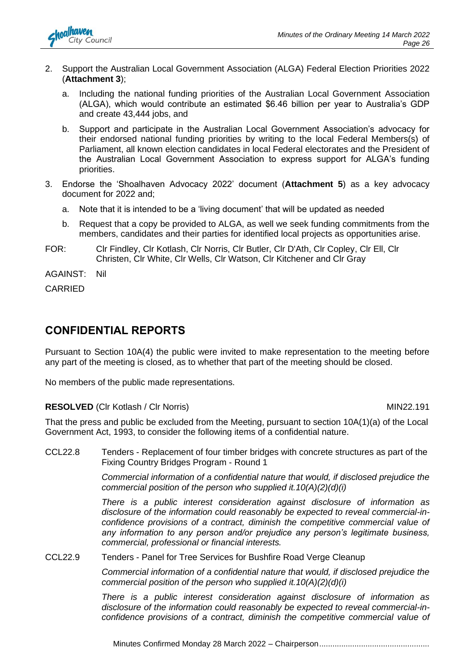

- 2. Support the Australian Local Government Association (ALGA) Federal Election Priorities 2022 (**Attachment 3**);
	- a. Including the national funding priorities of the Australian Local Government Association (ALGA), which would contribute an estimated \$6.46 billion per year to Australia's GDP and create 43,444 jobs, and
	- b. Support and participate in the Australian Local Government Association's advocacy for their endorsed national funding priorities by writing to the local Federal Members(s) of Parliament, all known election candidates in local Federal electorates and the President of the Australian Local Government Association to express support for ALGA's funding priorities.
- 3. Endorse the 'Shoalhaven Advocacy 2022' document (**Attachment 5**) as a key advocacy document for 2022 and;
	- a. Note that it is intended to be a 'living document' that will be updated as needed
	- b. Request that a copy be provided to ALGA, as well we seek funding commitments from the members, candidates and their parties for identified local projects as opportunities arise.
- FOR: Clr Findley, Clr Kotlash, Clr Norris, Clr Butler, Clr D'Ath, Clr Copley, Clr Ell, Clr Christen, Clr White, Clr Wells, Clr Watson, Clr Kitchener and Clr Gray

AGAINST: Nil

CARRIED

#### **CONFIDENTIAL REPORTS**

Pursuant to Section 10A(4) the public were invited to make representation to the meeting before any part of the meeting is closed, as to whether that part of the meeting should be closed.

No members of the public made representations.

#### **RESOLVED** (Clr Kotlash / Clr Norris) MIN22.191

That the press and public be excluded from the Meeting, pursuant to section 10A(1)(a) of the Local Government Act, 1993, to consider the following items of a confidential nature.

CCL22.8 Tenders - Replacement of four timber bridges with concrete structures as part of the Fixing Country Bridges Program - Round 1

> *Commercial information of a confidential nature that would, if disclosed prejudice the commercial position of the person who supplied it.10(A)(2)(d)(i)*

> *There is a public interest consideration against disclosure of information as disclosure of the information could reasonably be expected to reveal commercial-inconfidence provisions of a contract, diminish the competitive commercial value of any information to any person and/or prejudice any person's legitimate business, commercial, professional or financial interests.*

CCL22.9 Tenders - Panel for Tree Services for Bushfire Road Verge Cleanup

*Commercial information of a confidential nature that would, if disclosed prejudice the commercial position of the person who supplied it.10(A)(2)(d)(i)*

*There is a public interest consideration against disclosure of information as disclosure of the information could reasonably be expected to reveal commercial-inconfidence provisions of a contract, diminish the competitive commercial value of*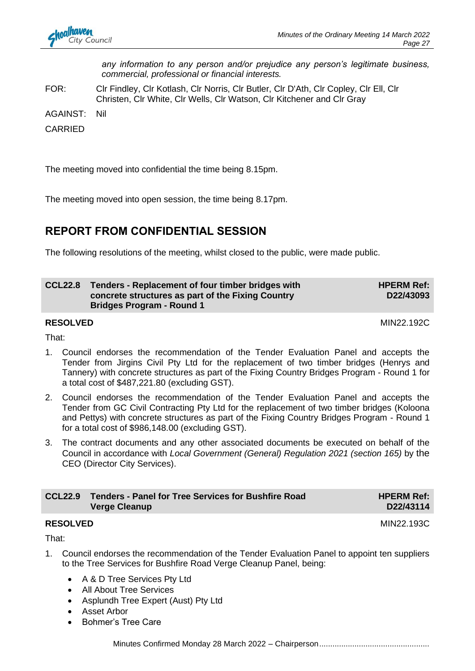*any information to any person and/or prejudice any person's legitimate business, commercial, professional or financial interests.*

FOR: Clr Findley, Clr Kotlash, Clr Norris, Clr Butler, Clr D'Ath, Clr Copley, Clr Ell, Clr Christen, Clr White, Clr Wells, Clr Watson, Clr Kitchener and Clr Gray

AGAINST: Nil

CARRIED

The meeting moved into confidential the time being 8.15pm.

The meeting moved into open session, the time being 8.17pm.

## **REPORT FROM CONFIDENTIAL SESSION**

The following resolutions of the meeting, whilst closed to the public, were made public.

| <b>CCL22.8</b> | Tenders - Replacement of four timber bridges with | <b>HPERM Ref:</b> |
|----------------|---------------------------------------------------|-------------------|
|                | concrete structures as part of the Fixing Country | D22/43093         |
|                | <b>Bridges Program - Round 1</b>                  |                   |

**RESOLVED** MIN22.192C

That:

- 1. Council endorses the recommendation of the Tender Evaluation Panel and accepts the Tender from Jirgins Civil Pty Ltd for the replacement of two timber bridges (Henrys and Tannery) with concrete structures as part of the Fixing Country Bridges Program - Round 1 for a total cost of \$487,221.80 (excluding GST).
- 2. Council endorses the recommendation of the Tender Evaluation Panel and accepts the Tender from GC Civil Contracting Pty Ltd for the replacement of two timber bridges (Koloona and Pettys) with concrete structures as part of the Fixing Country Bridges Program - Round 1 for a total cost of \$986,148.00 (excluding GST).
- 3. The contract documents and any other associated documents be executed on behalf of the Council in accordance with *Local Government (General) Regulation 2021 (section 165)* by the CEO (Director City Services).

| <b>CCL22.9</b> Tenders - Panel for Tree Services for Bushfire Road | <b>HPERM Ref:</b> |
|--------------------------------------------------------------------|-------------------|
| <b>Verge Cleanup</b>                                               | D22/43114         |

#### **RESOLVED** MIN22.193C

That:

- 1. Council endorses the recommendation of the Tender Evaluation Panel to appoint ten suppliers to the Tree Services for Bushfire Road Verge Cleanup Panel, being:
	- A & D Tree Services Pty Ltd
	- All About Tree Services
	- Asplundh Tree Expert (Aust) Pty Ltd
	- Asset Arbor
	- Bohmer's Tree Care